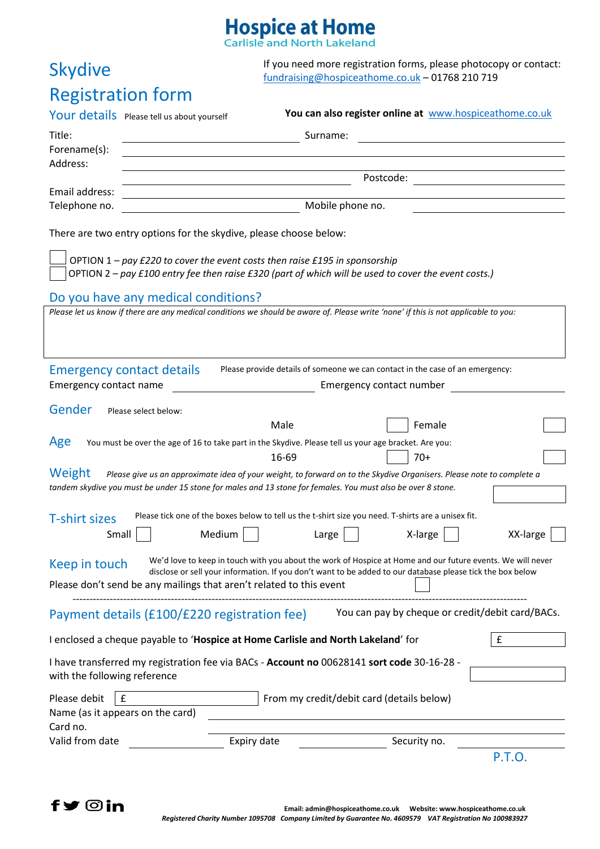## **Hospice at Home**

**Skydive** 

If you need more registration forms, please photocopy or contact: [fundraising@hospiceathome.co.uk](mailto:fundraising@hospiceathome.co.uk) – 01768 210 719

## Registration form Your details Please tell us about yourself **You can also register online at** [www.hospiceathome.co.uk](http://www.hospiceathome.co.uk/) Title: Surname: Surname: Surname: Surname: Surname: Surname: Surname: Surname: Surname: Surname: Surname: Surname: Surname: Surname: Surname: Surname: Surname: Surname: Surname: Surname: Surname: Surname: Surname: Surname: Forename(s): Address: Postcode: Email address: Telephone no. **Mobile phone no.** Mobile phone no. There are two entry options for the skydive, please choose below: OPTION 1 *– pay £220 to cover the event costs then raise £195 in sponsorship* OPTION 2 *– pay £100 entry fee then raise £320 (part of which will be used to cover the event costs.)* Ì Do you have any medical conditions? Please let us know if there are any medical conditions we should be aware of. Please write 'none' if this is not applicable to you: Emergency contact details Please provide details of someone we can contact in the case of an emergency: Emergency contact name Emergency contact number Gender Please select below: Male and **Female** Age You must be over the age of 16 to take part in the Skydive. Please tell us your age bracket. Are you:  $16-69$  |  $70+$ Weight *Please give us an approximate idea of your weight, to forward on to the Skydive Organisers. Please note to complete a tandem skydive you must be under 15 stone for males and 13 stone for females. You must also be over 8 stone.* T-shirt sizes Please tick one of the boxes below to tell us the t-shirt size you need. T-shirts are a unisex fit. Small Medium Large X-large XX-large Keep in touch We'd love to keep in touch with you about the work of Hospice at Home and our future events. We will never disclose or sell your information. If you don't want to be added to our database please tick the box below Please don't send be any mailings that aren't related to this event -------------------------------------------------------------------------------------------------------------------------------------- Payment details (£100/£220 registration fee) You can pay by cheque or credit/debit card/BACs. I enclosed a cheque payable to '**Hospice at Home Carlisle and North Lakeland**' for £ I have transferred my registration fee via BACs - **Account no** 00628141 **sort code** 30-16-28 with the following reference Please debit  $\begin{bmatrix} f \end{bmatrix}$  From my credit/debit card (details below) Name (as it appears on the card) Card no. Valid from date **Expiry date** Security no. P.T.O.